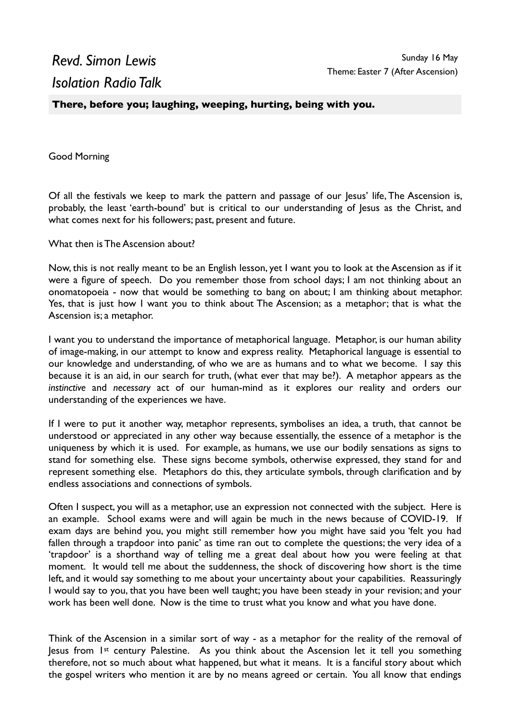## *Revd. Simon Lewis Isolation Radio Talk*

**There, before you; laughing, weeping, hurting, being with you.** 

Good Morning

Of all the festivals we keep to mark the pattern and passage of our Jesus' life, The Ascension is, probably, the least 'earth-bound' but is critical to our understanding of Jesus as the Christ, and what comes next for his followers; past, present and future.

What then is The Ascension about?

Now, this is not really meant to be an English lesson, yet I want you to look at the Ascension as if it were a figure of speech. Do you remember those from school days; I am not thinking about an onomatopoeia - now that would be something to bang on about; I am thinking about metaphor. Yes, that is just how I want you to think about The Ascension; as a metaphor; that is what the Ascension is; a metaphor.

I want you to understand the importance of metaphorical language. Metaphor, is our human ability of image-making, in our attempt to know and express reality. Metaphorical language is essential to our knowledge and understanding, of who we are as humans and to what we become. I say this because it is an aid, in our search for truth, (what ever that may be?). A metaphor appears as the *instinctive* and *necessary* act of our human-mind as it explores our reality and orders our understanding of the experiences we have.

If I were to put it another way, metaphor represents, symbolises an idea, a truth, that cannot be understood or appreciated in any other way because essentially, the essence of a metaphor is the uniqueness by which it is used. For example, as humans, we use our bodily sensations as signs to stand for something else. These signs become symbols, otherwise expressed, they stand for and represent something else. Metaphors do this, they articulate symbols, through clarification and by endless associations and connections of symbols.

Often I suspect, you will as a metaphor, use an expression not connected with the subject. Here is an example. School exams were and will again be much in the news because of COVID-19. If exam days are behind you, you might still remember how you might have said you 'felt you had fallen through a trapdoor into panic' as time ran out to complete the questions; the very idea of a 'trapdoor' is a shorthand way of telling me a great deal about how you were feeling at that moment. It would tell me about the suddenness, the shock of discovering how short is the time left, and it would say something to me about your uncertainty about your capabilities. Reassuringly I would say to you, that you have been well taught; you have been steady in your revision; and your work has been well done. Now is the time to trust what you know and what you have done.

Think of the Ascension in a similar sort of way - as a metaphor for the reality of the removal of Jesus from 1st century Palestine. As you think about the Ascension let it tell you something therefore, not so much about what happened, but what it means. It is a fanciful story about which the gospel writers who mention it are by no means agreed or certain. You all know that endings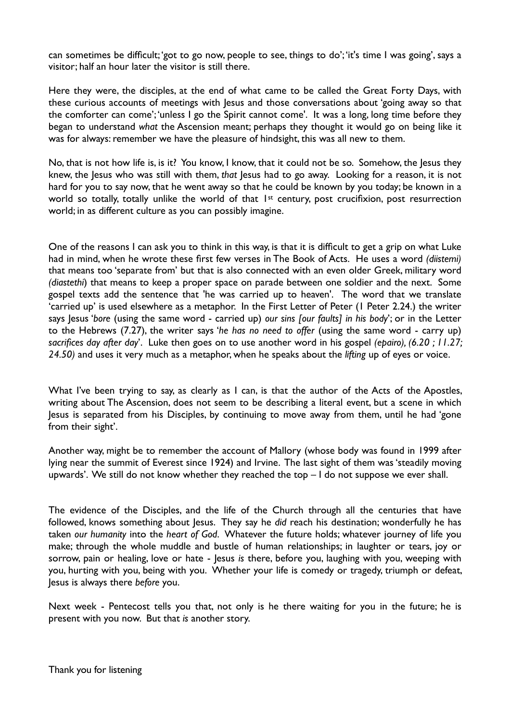can sometimes be difficult; 'got to go now, people to see, things to do'; 'it's time I was going', says a visitor; half an hour later the visitor is still there.

Here they were, the disciples, at the end of what came to be called the Great Forty Days, with these curious accounts of meetings with Jesus and those conversations about 'going away so that the comforter can come'; 'unless I go the Spirit cannot come'. It was a long, long time before they began to understand *what* the Ascension meant; perhaps they thought it would go on being like it was for always: remember we have the pleasure of hindsight, this was all new to them.

No, that is not how life is, is it? You know, I know, that it could not be so. Somehow, the Jesus they knew, the Jesus who was still with them, *that* Jesus had to go away. Looking for a reason, it is not hard for you to say now, that he went away so that he could be known by you today; be known in a world so totally, totally unlike the world of that 1st century, post crucifixion, post resurrection world; in as different culture as you can possibly imagine.

One of the reasons I can ask you to think in this way, is that it is difficult to get a grip on what Luke had in mind, when he wrote these first few verses in The Book of Acts. He uses a word *(diistemi)* that means too 'separate from' but that is also connected with an even older Greek, military word *(diastethi*) that means to keep a proper space on parade between one soldier and the next. Some gospel texts add the sentence that 'he was carried up to heaven'. The word that we translate 'carried up' is used elsewhere as a metaphor. In the First Letter of Peter (1 Peter 2.24.) the writer says Jesus '*bore* (using the same word - carried up) *our sins [our faults] in his body*'; or in the Letter to the Hebrews (7.27), the writer says '*he has no need to offer* (using the same word - carry up) *sacrifices day after day*'. Luke then goes on to use another word in his gospel *(epairo), (6.20 ; 11.27; 24.50)* and uses it very much as a metaphor, when he speaks about the *lifting* up of eyes or voice.

What I've been trying to say, as clearly as I can, is that the author of the Acts of the Apostles, writing about The Ascension, does not seem to be describing a literal event, but a scene in which Jesus is separated from his Disciples, by continuing to move away from them, until he had 'gone from their sight'.

Another way, might be to remember the account of Mallory (whose body was found in 1999 after lying near the summit of Everest since 1924) and Irvine. The last sight of them was 'steadily moving upwards'. We still do not know whether they reached the top – I do not suppose we ever shall.

The evidence of the Disciples, and the life of the Church through all the centuries that have followed, knows something about Jesus. They say he *did* reach his destination; wonderfully he has taken *our humanity* into the *heart of God*. Whatever the future holds; whatever journey of life you make; through the whole muddle and bustle of human relationships; in laughter or tears, joy or sorrow, pain or healing, love or hate - Jesus *is* there, before you, laughing with you, weeping with you, hurting with you, being with you. Whether your life is comedy or tragedy, triumph or defeat, Jesus is always there *before* you.

Next week - Pentecost tells you that, not only is he there waiting for you in the future; he is present with you now. But that *is* another story.